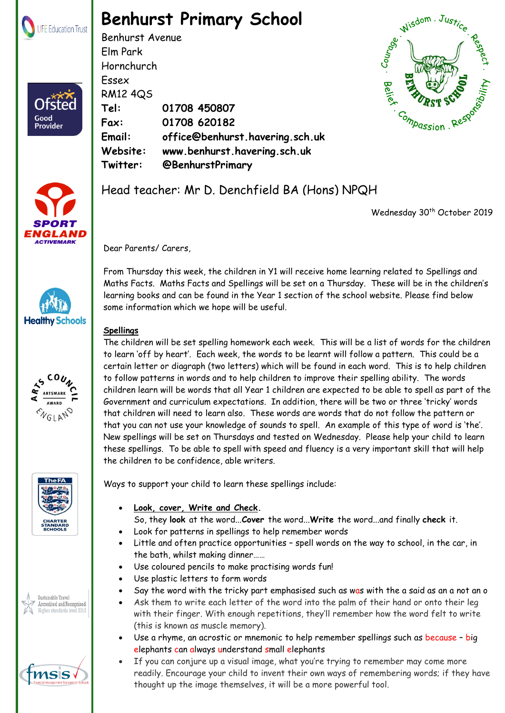

Ofsted

Good<br>Provider

## **Benhurst Primary School**

Benhurst Avenue Elm Park Hornchurch Essex RM12 4QS **Tel: 01708 450807 Fax: 01708 620182 Email: office@benhurst.havering.sch.uk Website: www.benhurst.havering.sch.uk Twitter: @BenhurstPrimary**







Wednesday 30<sup>th</sup> October 2019

Dear Parents/ Carers

**Healthy Schools** 









From Thursday this week, the children in Y1 will receive home learning related to Spellings and Maths Facts. Maths Facts and Spellings will be set on a Thursday. These will be in the children's learning books and can be found in the Year 1 section of the school website. Please find below some information which we hope will be useful.

## **Spellings**

The children will be set spelling homework each week. This will be a list of words for the children to learn 'off by heart'. Each week, the words to be learnt will follow a pattern. This could be a certain letter or diagraph (two letters) which will be found in each word. This is to help children to follow patterns in words and to help children to improve their spelling ability. The words children learn will be words that all Year 1 children are expected to be able to spell as part of the Government and curriculum expectations. In addition, there will be two or three 'tricky' words that children will need to learn also. These words are words that do not follow the pattern or that you can not use your knowledge of sounds to spell. An example of this type of word is 'the'. New spellings will be set on Thursdays and tested on Wednesday. Please help your child to learn these spellings. To be able to spell with speed and fluency is a very important skill that will help the children to be confidence, able writers.

Ways to support your child to learn these spellings include:

- **Look, cover, Write and [Check.](http://www.theschoolrun.com/Look-Cover-Write-Check-explained)**
	- So, they **look** at the word...**Cover** the word...**Write** the word...and finally **check** it.
- Look for patterns in spellings to help remember words
- Little and often practice opportunities spell words on the way to school, in the car, in the bath, whilst making dinner……
- Use coloured pencils to make practising words fun!
- Use plastic letters to form words
- Say the word with the tricky part emphasised such as was with the a said as an a not an o
- Ask them to write each letter of the word into the palm of their hand or onto their leg with their finger. With enough repetitions, they'll remember how the word felt to write (this is known as muscle memory).
- Use a rhyme, an acrostic or mnemonic to help remember spellings such as because big elephants can always understand small elephants
- $\mathbf{s}$   $\blacktriangleleft$  and the meadily. Encourage your child to invent their own ways of remembering words; if they have  $R_{\text{max}}$  find the Frances Bardsley Academy for Girls, Brenthwood Road, Road, Road, Road, Road, Road, Road, Road, Road, Road, Road, Road, Road, Road, Road, Road, Road, Road, Road, Road, Road, Road, Road, Road, Road, Road, If you can conjure up a visual image, what you're trying to remember may come more